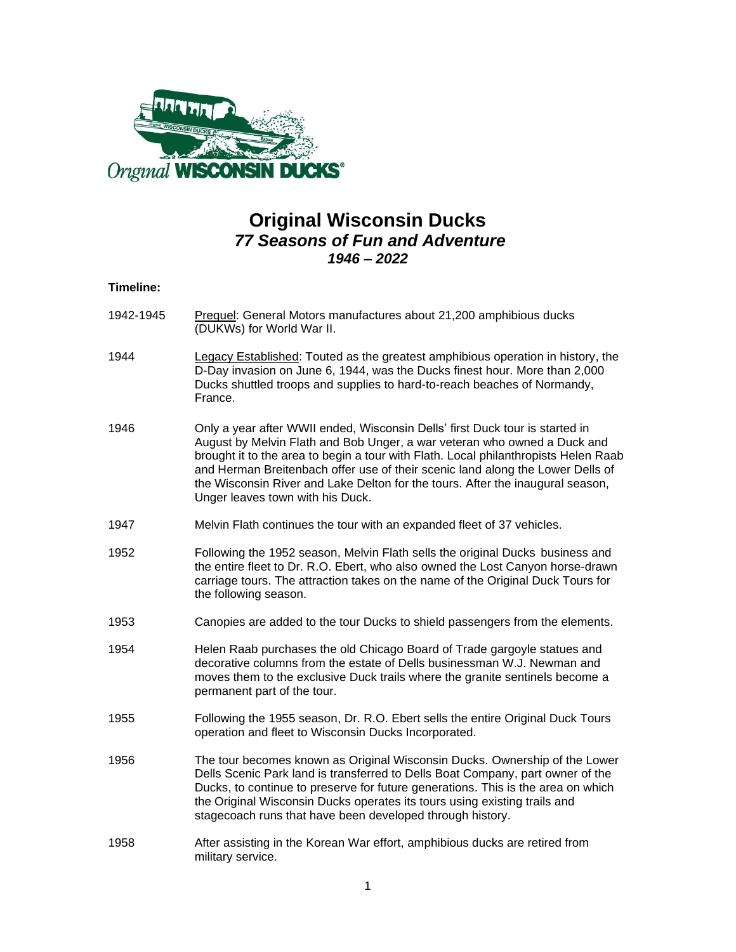

## **Original Wisconsin Ducks** *77 Seasons of Fun and Adventure 1946 – 2022*

## **Timeline:**

- 1942-1945 Prequel: General Motors manufactures about 21,200 amphibious ducks (DUKWs) for World War II.
- 1944 Legacy Established: Touted as the greatest amphibious operation in history, the D-Day invasion on June 6, 1944, was the Ducks finest hour. More than 2,000 Ducks shuttled troops and supplies to hard-to-reach beaches of Normandy, France.
- 1946 Only a year after WWII ended, Wisconsin Dells' first Duck tour is started in August by Melvin Flath and Bob Unger, a war veteran who owned a Duck and brought it to the area to begin a tour with Flath. Local philanthropists Helen Raab and Herman Breitenbach offer use of their scenic land along the Lower Dells of the Wisconsin River and Lake Delton for the tours. After the inaugural season, Unger leaves town with his Duck.
- 1947 Melvin Flath continues the tour with an expanded fleet of 37 vehicles.
- 1952 Following the 1952 season, Melvin Flath sells the original Ducks business and the entire fleet to Dr. R.O. Ebert, who also owned the Lost Canyon horse-drawn carriage tours. The attraction takes on the name of the Original Duck Tours for the following season.
- 1953 Canopies are added to the tour Ducks to shield passengers from the elements.
- 1954 Helen Raab purchases the old Chicago Board of Trade gargoyle statues and decorative columns from the estate of Dells businessman W.J. Newman and moves them to the exclusive Duck trails where the granite sentinels become a permanent part of the tour.
- 1955 Following the 1955 season, Dr. R.O. Ebert sells the entire Original Duck Tours operation and fleet to Wisconsin Ducks Incorporated.
- 1956 The tour becomes known as Original Wisconsin Ducks. Ownership of the Lower Dells Scenic Park land is transferred to Dells Boat Company, part owner of the Ducks, to continue to preserve for future generations. This is the area on which the Original Wisconsin Ducks operates its tours using existing trails and stagecoach runs that have been developed through history.
- 1958 After assisting in the Korean War effort, amphibious ducks are retired from military service.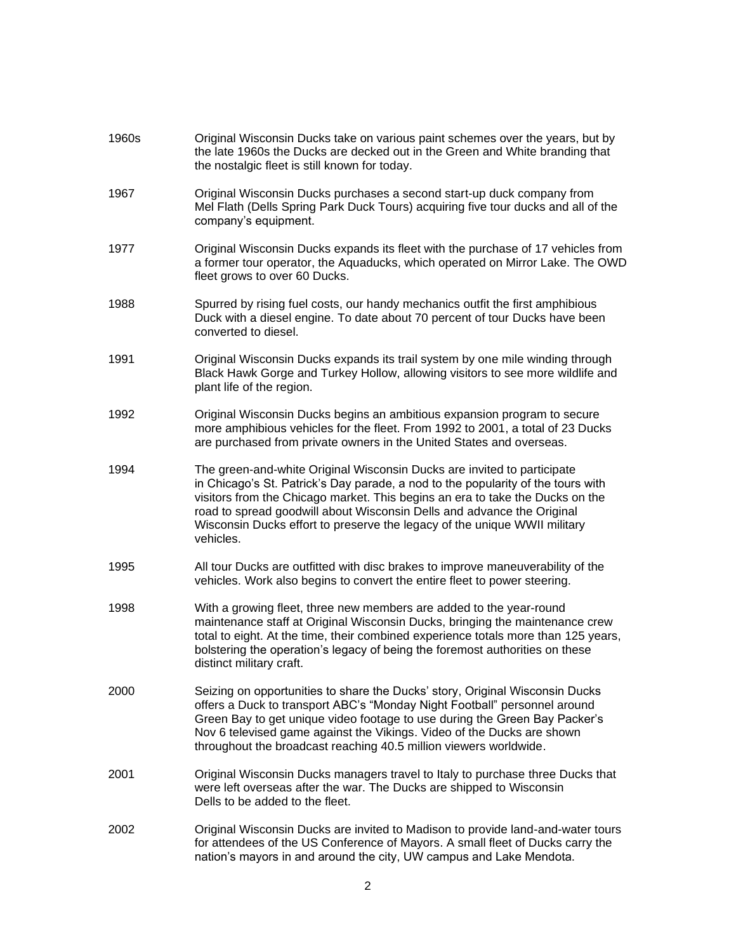| 1960s | Original Wisconsin Ducks take on various paint schemes over the years, but by<br>the late 1960s the Ducks are decked out in the Green and White branding that<br>the nostalgic fleet is still known for today.                                                                                                                                                                                                   |
|-------|------------------------------------------------------------------------------------------------------------------------------------------------------------------------------------------------------------------------------------------------------------------------------------------------------------------------------------------------------------------------------------------------------------------|
| 1967  | Original Wisconsin Ducks purchases a second start-up duck company from<br>Mel Flath (Dells Spring Park Duck Tours) acquiring five tour ducks and all of the<br>company's equipment.                                                                                                                                                                                                                              |
| 1977  | Original Wisconsin Ducks expands its fleet with the purchase of 17 vehicles from<br>a former tour operator, the Aquaducks, which operated on Mirror Lake. The OWD<br>fleet grows to over 60 Ducks.                                                                                                                                                                                                               |
| 1988  | Spurred by rising fuel costs, our handy mechanics outfit the first amphibious<br>Duck with a diesel engine. To date about 70 percent of tour Ducks have been<br>converted to diesel.                                                                                                                                                                                                                             |
| 1991  | Original Wisconsin Ducks expands its trail system by one mile winding through<br>Black Hawk Gorge and Turkey Hollow, allowing visitors to see more wildlife and<br>plant life of the region.                                                                                                                                                                                                                     |
| 1992  | Original Wisconsin Ducks begins an ambitious expansion program to secure<br>more amphibious vehicles for the fleet. From 1992 to 2001, a total of 23 Ducks<br>are purchased from private owners in the United States and overseas.                                                                                                                                                                               |
| 1994  | The green-and-white Original Wisconsin Ducks are invited to participate<br>in Chicago's St. Patrick's Day parade, a nod to the popularity of the tours with<br>visitors from the Chicago market. This begins an era to take the Ducks on the<br>road to spread goodwill about Wisconsin Dells and advance the Original<br>Wisconsin Ducks effort to preserve the legacy of the unique WWII military<br>vehicles. |
| 1995  | All tour Ducks are outfitted with disc brakes to improve maneuverability of the<br>vehicles. Work also begins to convert the entire fleet to power steering.                                                                                                                                                                                                                                                     |
| 1998  | With a growing fleet, three new members are added to the year-round<br>maintenance staff at Original Wisconsin Ducks, bringing the maintenance crew<br>total to eight. At the time, their combined experience totals more than 125 years,<br>bolstering the operation's legacy of being the foremost authorities on these<br>distinct military craft.                                                            |
| 2000  | Seizing on opportunities to share the Ducks' story, Original Wisconsin Ducks<br>offers a Duck to transport ABC's "Monday Night Football" personnel around<br>Green Bay to get unique video footage to use during the Green Bay Packer's<br>Nov 6 televised game against the Vikings. Video of the Ducks are shown<br>throughout the broadcast reaching 40.5 million viewers worldwide.                           |
| 2001  | Original Wisconsin Ducks managers travel to Italy to purchase three Ducks that<br>were left overseas after the war. The Ducks are shipped to Wisconsin<br>Dells to be added to the fleet.                                                                                                                                                                                                                        |
| 2002  | Original Wisconsin Ducks are invited to Madison to provide land-and-water tours<br>for attendees of the US Conference of Mayors. A small fleet of Ducks carry the<br>nation's mayors in and around the city, UW campus and Lake Mendota.                                                                                                                                                                         |